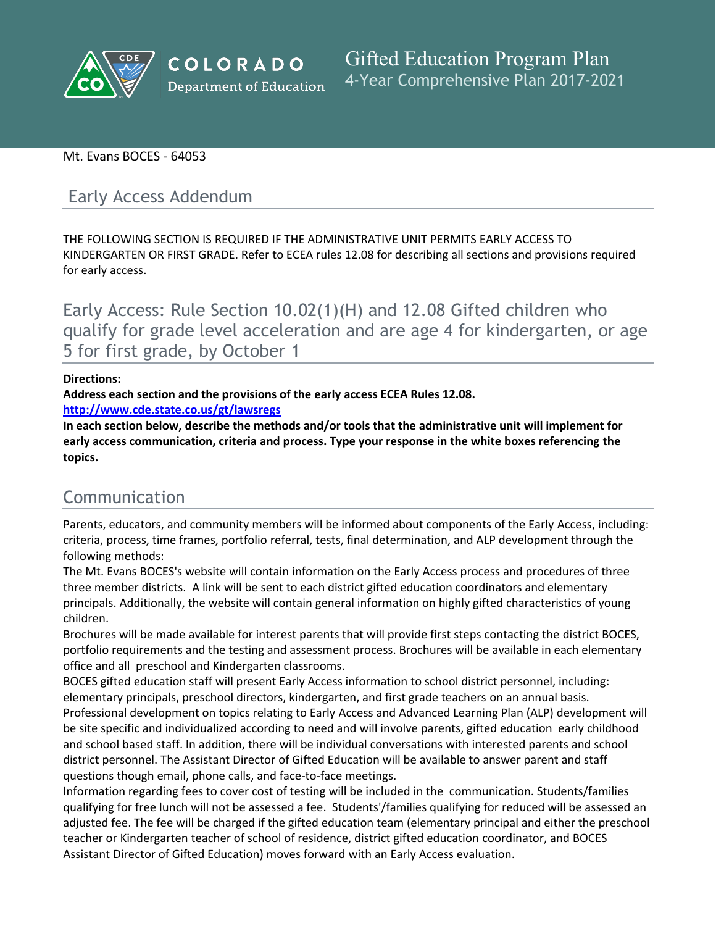

## Mt. Evans BOCES - 64053

# Early Access Addendum

THE FOLLOWING SECTION IS REQUIRED IF THE ADMINISTRATIVE UNIT PERMITS EARLY ACCESS TO KINDERGARTEN OR FIRST GRADE. Refer to ECEA rules 12.08 for describing all sections and provisions required for early access.

Early Access: Rule Section 10.02(1)(H) and 12.08 Gifted children who qualify for grade level acceleration and are age 4 for kindergarten, or age 5 for first grade, by October 1

### **Directions:**

**Address each section and the provisions of the early access ECEA Rules 12.08.**

**<http://www.cde.state.co.us/gt/lawsregs>**

**In each section below, describe the methods and/or tools that the administrative unit will implement for early access communication, criteria and process. Type your response in the white boxes referencing the topics.**

# Communication

Parents, educators, and community members will be informed about components of the Early Access, including: criteria, process, time frames, portfolio referral, tests, final determination, and ALP development through the following methods:

The Mt. Evans BOCES's website will contain information on the Early Access process and procedures of three three member districts. A link will be sent to each district gifted education coordinators and elementary principals. Additionally, the website will contain general information on highly gifted characteristics of young children.

Brochures will be made available for interest parents that will provide first steps contacting the district BOCES, portfolio requirements and the testing and assessment process. Brochures will be available in each elementary office and all preschool and Kindergarten classrooms.

BOCES gifted education staff will present Early Access information to school district personnel, including: elementary principals, preschool directors, kindergarten, and first grade teachers on an annual basis.

Professional development on topics relating to Early Access and Advanced Learning Plan (ALP) development will be site specific and individualized according to need and will involve parents, gifted education early childhood and school based staff. In addition, there will be individual conversations with interested parents and school district personnel. The Assistant Director of Gifted Education will be available to answer parent and staff questions though email, phone calls, and face-to-face meetings.

Information regarding fees to cover cost of testing will be included in the communication. Students/families qualifying for free lunch will not be assessed a fee. Students'/families qualifying for reduced will be assessed an adjusted fee. The fee will be charged if the gifted education team (elementary principal and either the preschool teacher or Kindergarten teacher of school of residence, district gifted education coordinator, and BOCES Assistant Director of Gifted Education) moves forward with an Early Access evaluation.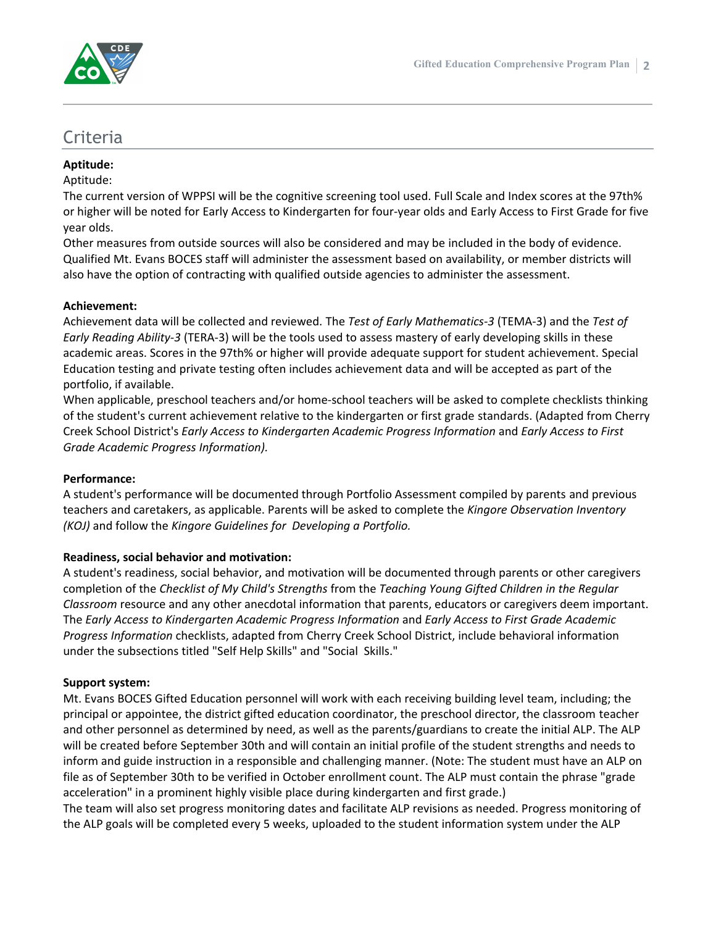

## Criteria

## **Aptitude:**

## Aptitude:

The current version of WPPSI will be the cognitive screening tool used. Full Scale and Index scores at the 97th% or higher will be noted for Early Access to Kindergarten for four-year olds and Early Access to First Grade for five year olds.

Other measures from outside sources will also be considered and may be included in the body of evidence. Qualified Mt. Evans BOCES staff will administer the assessment based on availability, or member districts will also have the option of contracting with qualified outside agencies to administer the assessment.

## **Achievement:**

Achievement data will be collected and reviewed. The *Test of Early Mathematics-3* (TEMA-3) and the *Test of Early Reading Ability-3* (TERA-3) will be the tools used to assess mastery of early developing skills in these academic areas. Scores in the 97th% or higher will provide adequate support for student achievement. Special Education testing and private testing often includes achievement data and will be accepted as part of the portfolio, if available.

When applicable, preschool teachers and/or home-school teachers will be asked to complete checklists thinking of the student's current achievement relative to the kindergarten or first grade standards. (Adapted from Cherry Creek School District's *Early Access to Kindergarten Academic Progress Information* and *Early Access to First Grade Academic Progress Information).*

## **Performance:**

A student's performance will be documented through Portfolio Assessment compiled by parents and previous teachers and caretakers, as applicable. Parents will be asked to complete the *Kingore Observation Inventory (KOJ)* and follow the *Kingore Guidelines for Developing a Portfolio.*

## **Readiness, social behavior and motivation:**

A student's readiness, social behavior, and motivation will be documented through parents or other caregivers completion of the *Checklist of My Child's Strengths* from the *Teaching Young Gifted Children in the Regular Classroom* resource and any other anecdotal information that parents, educators or caregivers deem important. The *Early Access to Kindergarten Academic Progress Information* and *Early Access to First Grade Academic Progress Information* checklists, adapted from Cherry Creek School District, include behavioral information under the subsections titled "Self Help Skills" and "Social Skills."

## **Support system:**

Mt. Evans BOCES Gifted Education personnel will work with each receiving building level team, including; the principal or appointee, the district gifted education coordinator, the preschool director, the classroom teacher and other personnel as determined by need, as well as the parents/guardians to create the initial ALP. The ALP will be created before September 30th and will contain an initial profile of the student strengths and needs to inform and guide instruction in a responsible and challenging manner. (Note: The student must have an ALP on file as of September 30th to be verified in October enrollment count. The ALP must contain the phrase "grade acceleration" in a prominent highly visible place during kindergarten and first grade.)

The team will also set progress monitoring dates and facilitate ALP revisions as needed. Progress monitoring of the ALP goals will be completed every 5 weeks, uploaded to the student information system under the ALP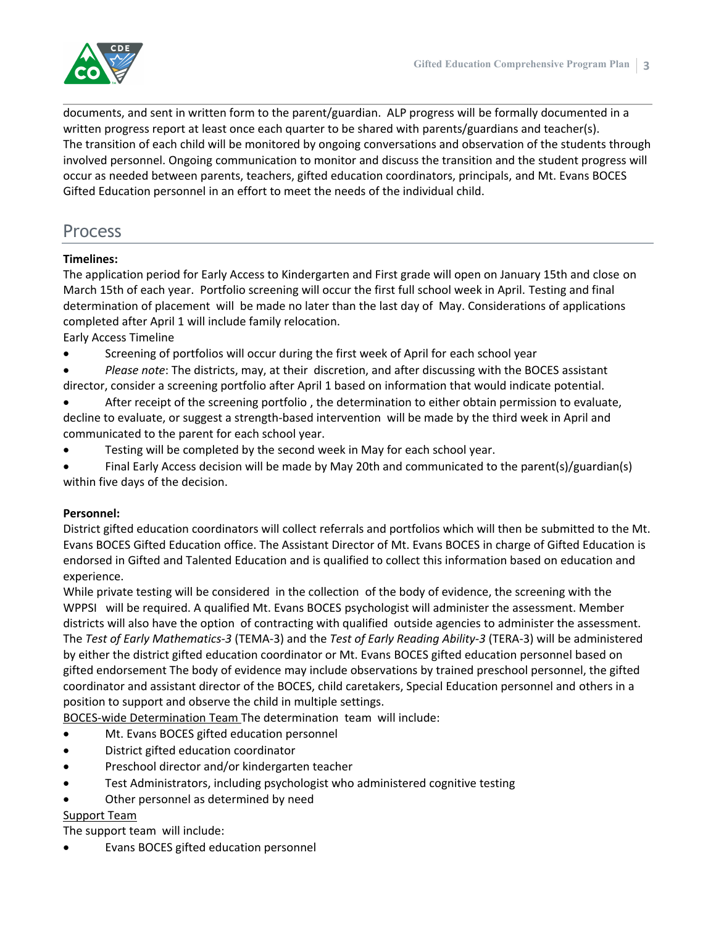

documents, and sent in written form to the parent/guardian. ALP progress will be formally documented in a written progress report at least once each quarter to be shared with parents/guardians and teacher(s). The transition of each child will be monitored by ongoing conversations and observation of the students through involved personnel. Ongoing communication to monitor and discuss the transition and the student progress will occur as needed between parents, teachers, gifted education coordinators, principals, and Mt. Evans BOCES Gifted Education personnel in an effort to meet the needs of the individual child.

## Process

## **Timelines:**

The application period for Early Access to Kindergarten and First grade will open on January 15th and close on March 15th of each year. Portfolio screening will occur the first full school week in April. Testing and final determination of placement will be made no later than the last day of May. Considerations of applications completed after April 1 will include family relocation.

Early Access Timeline

- Screening of portfolios will occur during the first week of April for each school year
- *Please note*: The districts, may, at their discretion, and after discussing with the BOCES assistant director, consider a screening portfolio after April 1 based on information that would indicate potential.
- After receipt of the screening portfolio , the determination to either obtain permission to evaluate, decline to evaluate, or suggest a strength-based intervention will be made by the third week in April and communicated to the parent for each school year.
- Testing will be completed by the second week in May for each school year.
- Final Early Access decision will be made by May 20th and communicated to the parent(s)/guardian(s) within five days of the decision.

## **Personnel:**

District gifted education coordinators will collect referrals and portfolios which will then be submitted to the Mt. Evans BOCES Gifted Education office. The Assistant Director of Mt. Evans BOCES in charge of Gifted Education is endorsed in Gifted and Talented Education and is qualified to collect this information based on education and experience.

While private testing will be considered in the collection of the body of evidence, the screening with the WPPSI will be required. A qualified Mt. Evans BOCES psychologist will administer the assessment. Member districts will also have the option of contracting with qualified outside agencies to administer the assessment. The *Test of Early Mathematics-3* (TEMA-3) and the *Test of Early Reading Ability-3* (TERA-3) will be administered by either the district gifted education coordinator or Mt. Evans BOCES gifted education personnel based on gifted endorsement The body of evidence may include observations by trained preschool personnel, the gifted coordinator and assistant director of the BOCES, child caretakers, Special Education personnel and others in a position to support and observe the child in multiple settings.

BOCES-wide Determination Team The determination team will include:

- Mt. Evans BOCES gifted education personnel
- District gifted education coordinator
- Preschool director and/or kindergarten teacher
- Test Administrators, including psychologist who administered cognitive testing
- Other personnel as determined by need

## Support Team

The support team will include:

Evans BOCES gifted education personnel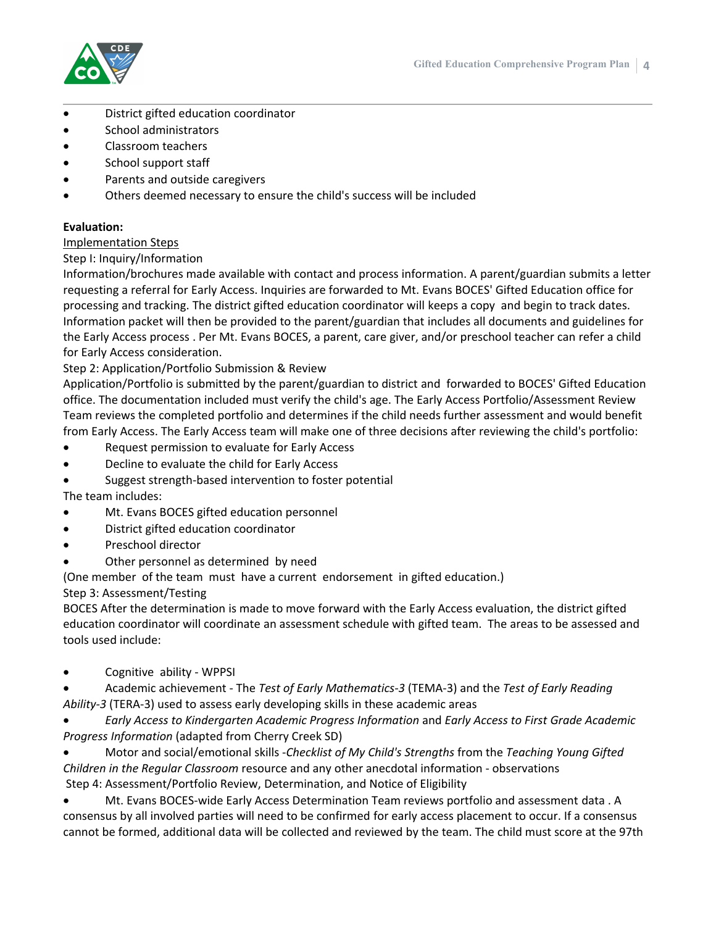

- District gifted education coordinator
- School administrators
- Classroom teachers
- School support staff
- Parents and outside caregivers
- Others deemed necessary to ensure the child's success will be included

## **Evaluation:**

### Implementation Steps

## Step I: Inquiry/Information

Information/brochures made available with contact and process information. A parent/guardian submits a letter requesting a referral for Early Access. Inquiries are forwarded to Mt. Evans BOCES' Gifted Education office for processing and tracking. The district gifted education coordinator will keeps a copy and begin to track dates. Information packet will then be provided to the parent/guardian that includes all documents and guidelines for the Early Access process . Per Mt. Evans BOCES, a parent, care giver, and/or preschool teacher can refer a child for Early Access consideration.

## Step 2: Application/Portfolio Submission & Review

Application/Portfolio is submitted by the parent/guardian to district and forwarded to BOCES' Gifted Education office. The documentation included must verify the child's age. The Early Access Portfolio/Assessment Review Team reviews the completed portfolio and determines if the child needs further assessment and would benefit from Early Access. The Early Access team will make one of three decisions after reviewing the child's portfolio:

- Request permission to evaluate for Early Access
- Decline to evaluate the child for Early Access
- Suggest strength-based intervention to foster potential

The team includes:

- Mt. Evans BOCES gifted education personnel
- District gifted education coordinator
- Preschool director
- Other personnel as determined by need

(One member of the team must have a current endorsement in gifted education.)

Step 3: Assessment/Testing

BOCES After the determination is made to move forward with the Early Access evaluation, the district gifted education coordinator will coordinate an assessment schedule with gifted team. The areas to be assessed and tools used include:

- Cognitive ability WPPSI
- Academic achievement The *Test of Early Mathematics-3* (TEMA-3) and the *Test of Early Reading Ability-3* (TERA-3) used to assess early developing skills in these academic areas
- *Early Access to Kindergarten Academic Progress Information* and *Early Access to First Grade Academic Progress Information* (adapted from Cherry Creek SD)
- Motor and social/emotional skills -*Checklist of My Child's Strengths* from the *Teaching Young Gifted Children in the Regular Classroom* resource and any other anecdotal information - observations Step 4: Assessment/Portfolio Review, Determination, and Notice of Eligibility
- Mt. Evans BOCES-wide Early Access Determination Team reviews portfolio and assessment data . A consensus by all involved parties will need to be confirmed for early access placement to occur. If a consensus cannot be formed, additional data will be collected and reviewed by the team. The child must score at the 97th